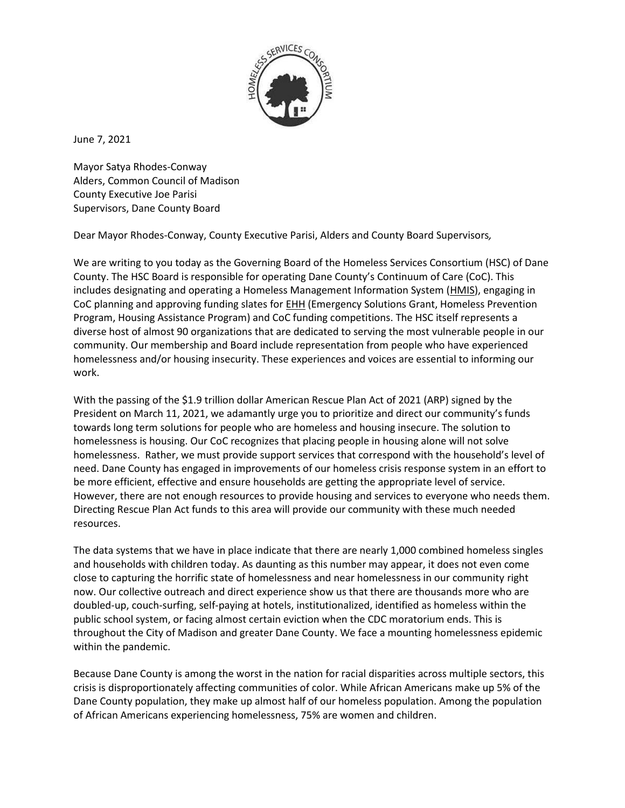

June 7, 2021

Mayor Satya Rhodes-Conway Alders, Common Council of Madison County Executive Joe Parisi Supervisors, Dane County Board

Dear Mayor Rhodes-Conway, County Executive Parisi, Alders and County Board Supervisors*,*

We are writing to you today as the Governing Board of the Homeless Services Consortium (HSC) of Dane County. The HSC Board is responsible for operating Dane County's Continuum of Care (CoC). This includes designating and operating a Homeless Management Information System [\(HMIS\)](https://www.danecountyhomeless.org/hsc-glossary), engaging in CoC planning and approving funding slates for [EHH](https://www.danecountyhomeless.org/hsc-glossary) (Emergency Solutions Grant, Homeless Prevention Program, Housing Assistance Program) and CoC funding competitions. The HSC itself represents a diverse host of almost 90 organizations that are dedicated to serving the most vulnerable people in our community. Our membership and Board include representation from people who have experienced homelessness and/or housing insecurity. These experiences and voices are essential to informing our work.

With the passing of the \$1.9 trillion dollar American Rescue Plan Act of 2021 (ARP) signed by the President on March 11, 2021, we adamantly urge you to prioritize and direct our community's funds towards long term solutions for people who are homeless and housing insecure. The solution to homelessness is housing. Our CoC recognizes that placing people in housing alone will not solve homelessness. Rather, we must provide support services that correspond with the household's level of need. Dane County has engaged in improvements of our homeless crisis response system in an effort to be more efficient, effective and ensure households are getting the appropriate level of service. However, there are not enough resources to provide housing and services to everyone who needs them. Directing Rescue Plan Act funds to this area will provide our community with these much needed resources.

The data systems that we have in place indicate that there are nearly 1,000 combined homeless singles and households with children today. As daunting as this number may appear, it does not even come close to capturing the horrific state of homelessness and near homelessness in our community right now. Our collective outreach and direct experience show us that there are thousands more who are doubled-up, couch-surfing, self-paying at hotels, institutionalized, identified as homeless within the public school system, or facing almost certain eviction when the CDC moratorium ends. This is throughout the City of Madison and greater Dane County. We face a mounting homelessness epidemic within the pandemic.

Because Dane County is among the worst in the nation for racial disparities across multiple sectors, this crisis is disproportionately affecting communities of color. While African Americans make up 5% of the Dane County population, they make up almost half of our homeless population. Among the population of African Americans experiencing homelessness, 75% are women and children.